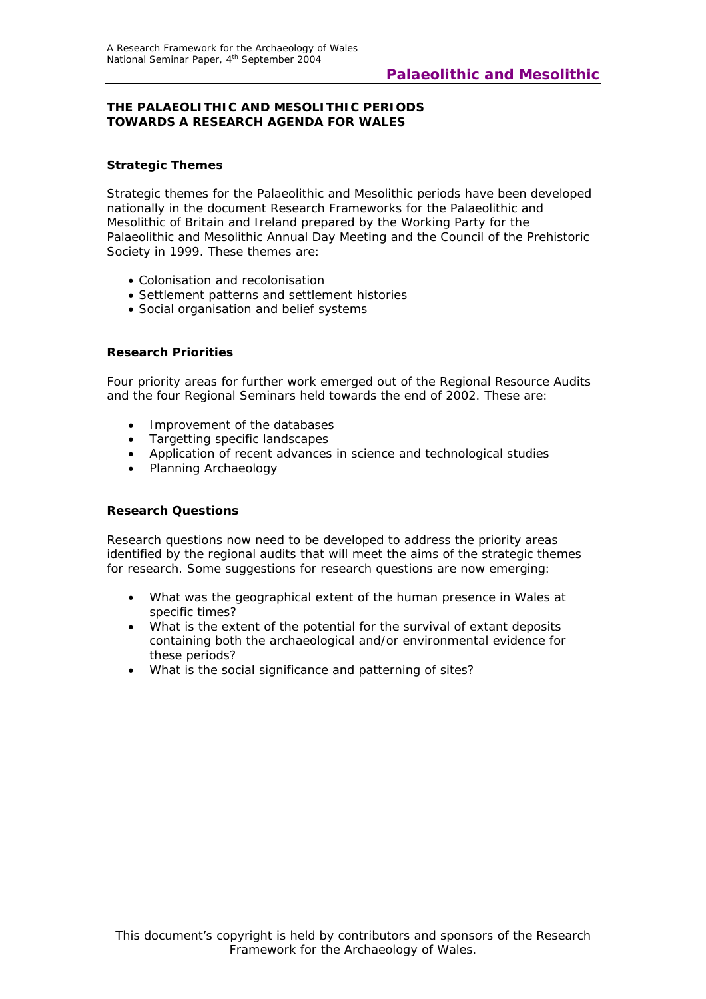## **THE PALAEOLITHIC AND MESOLITHIC PERIODS TOWARDS A RESEARCH AGENDA FOR WALES**

# **Strategic Themes**

Strategic themes for the Palaeolithic and Mesolithic periods have been developed nationally in the document *Research Frameworks for the Palaeolithic and Mesolithic of Britain and Ireland* prepared by the Working Party for the Palaeolithic and Mesolithic Annual Day Meeting and the Council of the Prehistoric Society in 1999. These themes are:

- Colonisation and recolonisation
- Settlement patterns and settlement histories
- Social organisation and belief systems

# **Research Priorities**

Four priority areas for further work emerged out of the Regional Resource Audits and the four Regional Seminars held towards the end of 2002. These are:

- Improvement of the databases
- Targetting specific landscapes
- Application of recent advances in science and technological studies
- Planning Archaeology

#### **Research Questions**

Research questions now need to be developed to address the priority areas identified by the regional audits that will meet the aims of the strategic themes for research. Some suggestions for research questions are now emerging:

- What was the geographical extent of the human presence in Wales at specific times?
- What is the extent of the potential for the survival of extant deposits containing both the archaeological and/or environmental evidence for these periods?
- What is the social significance and patterning of sites?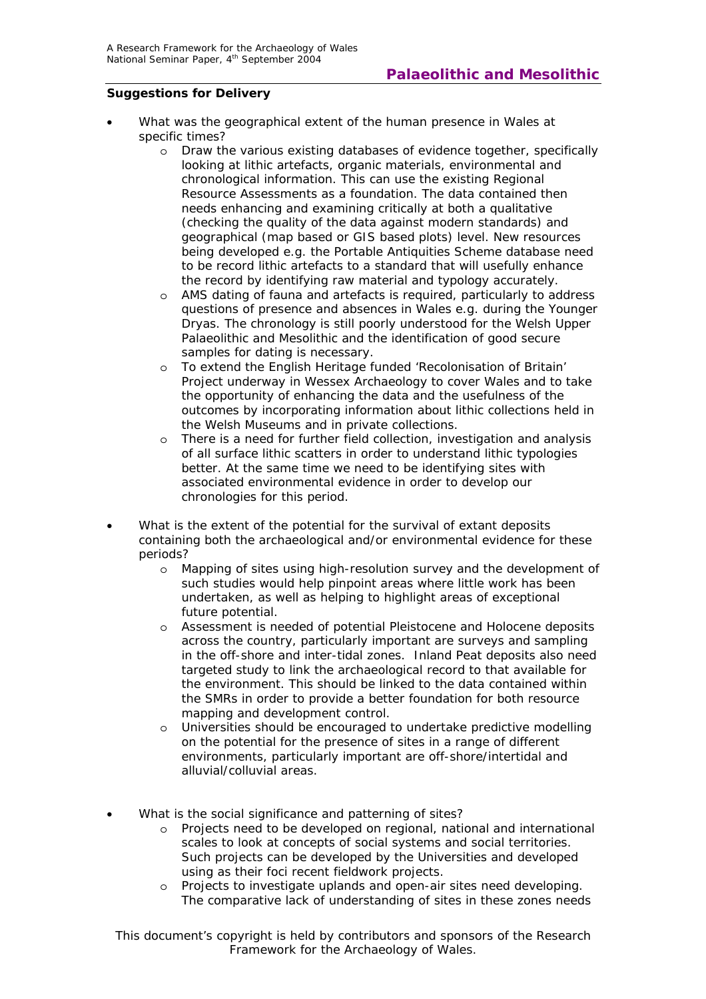## **Suggestions for Delivery**

- What was the geographical extent of the human presence in Wales at specific times?
	- o Draw the various existing databases of evidence together, specifically looking at lithic artefacts, organic materials, environmental and chronological information. This can use the existing Regional Resource Assessments as a foundation. The data contained then needs enhancing and examining critically at both a qualitative (checking the quality of the data against modern standards) and geographical (map based or GIS based plots) level. New resources being developed e.g. the Portable Antiquities Scheme database need to be record lithic artefacts to a standard that will usefully enhance the record by identifying raw material and typology accurately.
	- o AMS dating of fauna and artefacts is required, particularly to address questions of presence and absences in Wales e.g. during the Younger Dryas. The chronology is still poorly understood for the Welsh Upper Palaeolithic and Mesolithic and the identification of good secure samples for dating is necessary.
	- o To extend the English Heritage funded 'Recolonisation of Britain' Project underway in Wessex Archaeology to cover Wales and to take the opportunity of enhancing the data and the usefulness of the outcomes by incorporating information about lithic collections held in the Welsh Museums and in private collections.
	- o There is a need for further field collection, investigation and analysis of all surface lithic scatters in order to understand lithic typologies better. At the same time we need to be identifying sites with associated environmental evidence in order to develop our chronologies for this period.
- What is the extent of the potential for the survival of extant deposits containing both the archaeological and/or environmental evidence for these periods?
	- o Mapping of sites using high-resolution survey and the development of such studies would help pinpoint areas where little work has been undertaken, as well as helping to highlight areas of exceptional future potential.
	- o Assessment is needed of potential Pleistocene and Holocene deposits across the country, particularly important are surveys and sampling in the off-shore and inter-tidal zones. Inland Peat deposits also need targeted study to link the archaeological record to that available for the environment. This should be linked to the data contained within the SMRs in order to provide a better foundation for both resource mapping and development control.
	- o Universities should be encouraged to undertake predictive modelling on the potential for the presence of sites in a range of different environments, particularly important are off-shore/intertidal and alluvial/colluvial areas.
- What is the social significance and patterning of sites?
	- o Projects need to be developed on regional, national and international scales to look at concepts of social systems and social territories. Such projects can be developed by the Universities and developed using as their foci recent fieldwork projects.
	- o Projects to investigate uplands and open-air sites need developing. The comparative lack of understanding of sites in these zones needs

*This document's copyright is held by contributors and sponsors of the Research Framework for the Archaeology of Wales.*